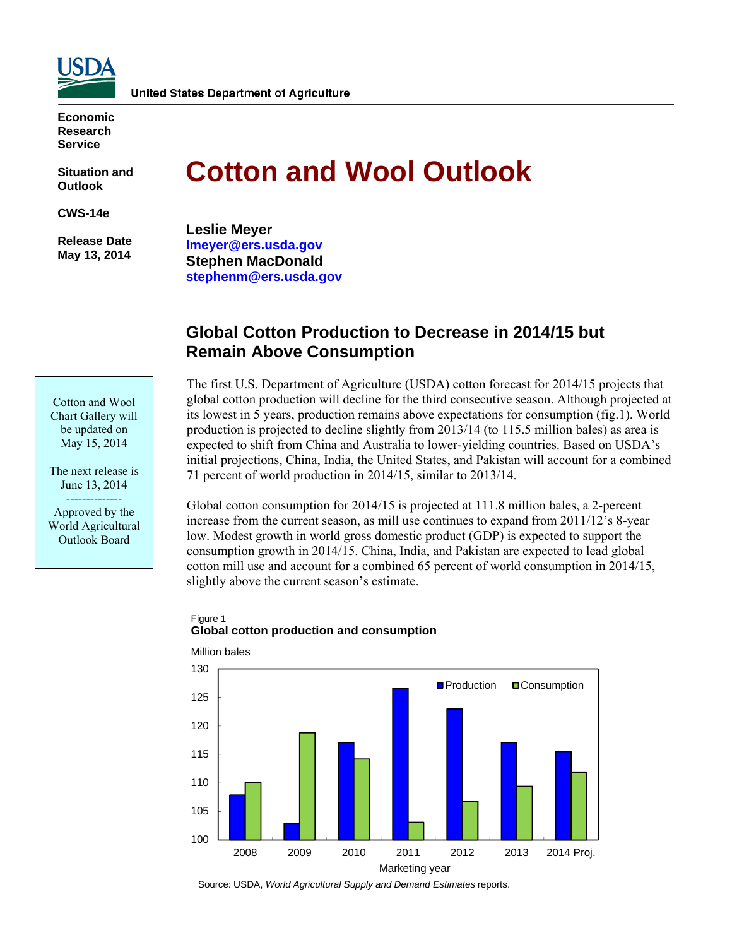

**Economic Research Service** 

**Situation and Outlook** 

**CWS-14e** 

 **Release Date May 13, 2014** 

# **Cotton and Wool Outlook**

**Leslie Meyer lmeyer@ers.usda.gov Stephen MacDonald stephenm@ers.usda.gov** 

## **Global Cotton Production to Decrease in 2014/15 but Remain Above Consumption**

Cotton and Wool Chart Gallery will be updated on May 15, 2014

The next release is June 13, 2014 -------------- Approved by the World Agricultural Outlook Board

The first U.S. Department of Agriculture (USDA) cotton forecast for 2014/15 projects that global cotton production will decline for the third consecutive season. Although projected at its lowest in 5 years, production remains above expectations for consumption (fig.1). World production is projected to decline slightly from 2013/14 (to 115.5 million bales) as area is expected to shift from China and Australia to lower-yielding countries. Based on USDA's initial projections, China, India, the United States, and Pakistan will account for a combined 71 percent of world production in 2014/15, similar to 2013/14.

Global cotton consumption for 2014/15 is projected at 111.8 million bales, a 2-percent increase from the current season, as mill use continues to expand from 2011/12's 8-year low. Modest growth in world gross domestic product (GDP) is expected to support the consumption growth in 2014/15. China, India, and Pakistan are expected to lead global cotton mill use and account for a combined 65 percent of world consumption in 2014/15, slightly above the current season's estimate.

#### Figure 1 **Global cotton production and consumption**



Source: USDA, *World Agricultural Supply and Demand Estimates* reports.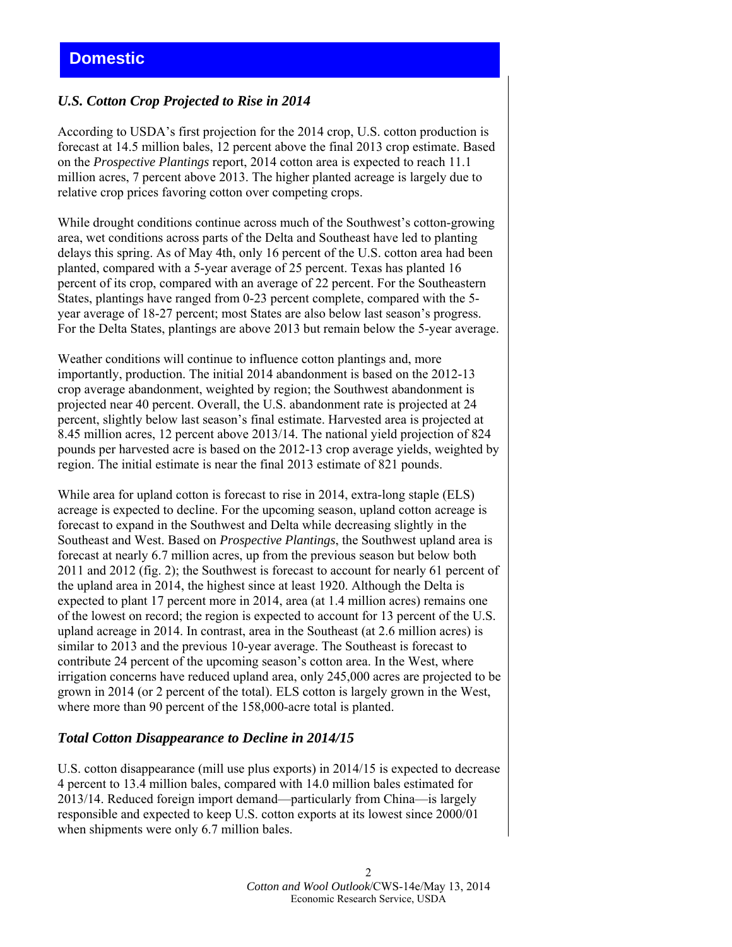## *U.S. Cotton Crop Projected to Rise in 2014*

According to USDA's first projection for the 2014 crop, U.S. cotton production is forecast at 14.5 million bales, 12 percent above the final 2013 crop estimate. Based on the *Prospective Plantings* report, 2014 cotton area is expected to reach 11.1 million acres, 7 percent above 2013. The higher planted acreage is largely due to relative crop prices favoring cotton over competing crops.

While drought conditions continue across much of the Southwest's cotton-growing area, wet conditions across parts of the Delta and Southeast have led to planting delays this spring. As of May 4th, only 16 percent of the U.S. cotton area had been planted, compared with a 5-year average of 25 percent. Texas has planted 16 percent of its crop, compared with an average of 22 percent. For the Southeastern States, plantings have ranged from 0-23 percent complete, compared with the 5 year average of 18-27 percent; most States are also below last season's progress. For the Delta States, plantings are above 2013 but remain below the 5-year average.

Weather conditions will continue to influence cotton plantings and, more importantly, production. The initial 2014 abandonment is based on the 2012-13 crop average abandonment, weighted by region; the Southwest abandonment is projected near 40 percent. Overall, the U.S. abandonment rate is projected at 24 percent, slightly below last season's final estimate. Harvested area is projected at 8.45 million acres, 12 percent above 2013/14. The national yield projection of 824 pounds per harvested acre is based on the 2012-13 crop average yields, weighted by region. The initial estimate is near the final 2013 estimate of 821 pounds.

While area for upland cotton is forecast to rise in 2014, extra-long staple (ELS) acreage is expected to decline. For the upcoming season, upland cotton acreage is forecast to expand in the Southwest and Delta while decreasing slightly in the Southeast and West. Based on *Prospective Plantings*, the Southwest upland area is forecast at nearly 6.7 million acres, up from the previous season but below both 2011 and 2012 (fig. 2); the Southwest is forecast to account for nearly 61 percent of the upland area in 2014, the highest since at least 1920. Although the Delta is expected to plant 17 percent more in 2014, area (at 1.4 million acres) remains one of the lowest on record; the region is expected to account for 13 percent of the U.S. upland acreage in 2014. In contrast, area in the Southeast (at 2.6 million acres) is similar to 2013 and the previous 10-year average. The Southeast is forecast to contribute 24 percent of the upcoming season's cotton area. In the West, where irrigation concerns have reduced upland area, only 245,000 acres are projected to be grown in 2014 (or 2 percent of the total). ELS cotton is largely grown in the West, where more than 90 percent of the 158,000-acre total is planted.

## *Total Cotton Disappearance to Decline in 2014/15*

U.S. cotton disappearance (mill use plus exports) in 2014/15 is expected to decrease 4 percent to 13.4 million bales, compared with 14.0 million bales estimated for 2013/14. Reduced foreign import demand—particularly from China—is largely responsible and expected to keep U.S. cotton exports at its lowest since 2000/01 when shipments were only 6.7 million bales.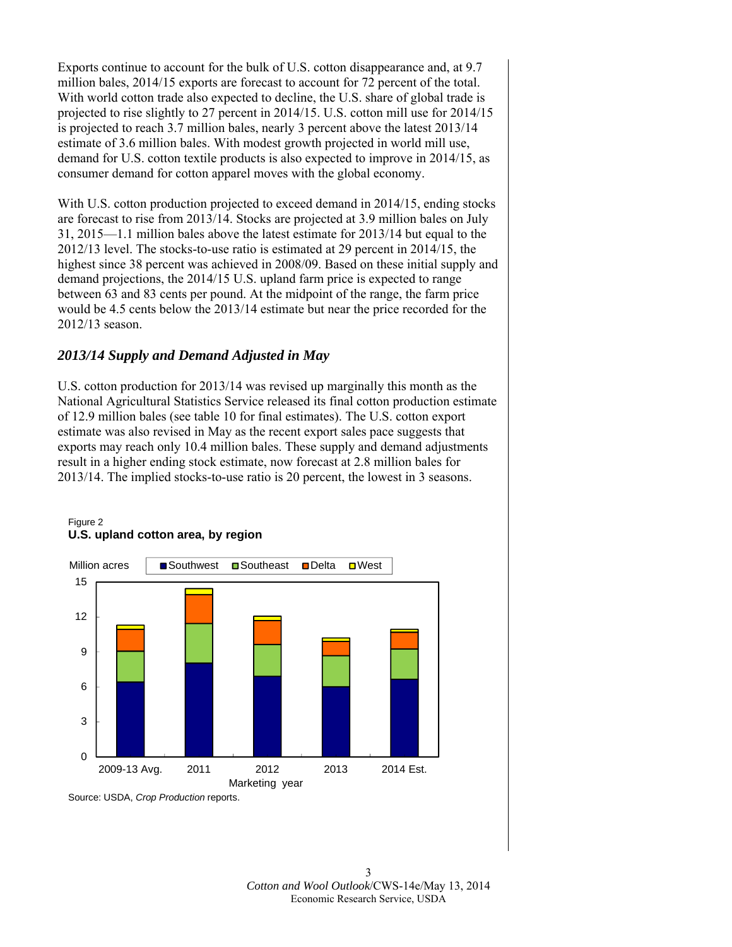Exports continue to account for the bulk of U.S. cotton disappearance and, at 9.7 million bales, 2014/15 exports are forecast to account for 72 percent of the total. With world cotton trade also expected to decline, the U.S. share of global trade is projected to rise slightly to 27 percent in 2014/15. U.S. cotton mill use for 2014/15 is projected to reach 3.7 million bales, nearly 3 percent above the latest 2013/14 estimate of 3.6 million bales. With modest growth projected in world mill use, demand for U.S. cotton textile products is also expected to improve in 2014/15, as consumer demand for cotton apparel moves with the global economy.

With U.S. cotton production projected to exceed demand in 2014/15, ending stocks are forecast to rise from 2013/14. Stocks are projected at 3.9 million bales on July 31, 2015—1.1 million bales above the latest estimate for 2013/14 but equal to the 2012/13 level. The stocks-to-use ratio is estimated at 29 percent in 2014/15, the highest since 38 percent was achieved in 2008/09. Based on these initial supply and demand projections, the 2014/15 U.S. upland farm price is expected to range between 63 and 83 cents per pound. At the midpoint of the range, the farm price would be 4.5 cents below the 2013/14 estimate but near the price recorded for the 2012/13 season.

## *2013/14 Supply and Demand Adjusted in May*

U.S. cotton production for 2013/14 was revised up marginally this month as the National Agricultural Statistics Service released its final cotton production estimate of 12.9 million bales (see table 10 for final estimates). The U.S. cotton export estimate was also revised in May as the recent export sales pace suggests that exports may reach only 10.4 million bales. These supply and demand adjustments result in a higher ending stock estimate, now forecast at 2.8 million bales for 2013/14. The implied stocks-to-use ratio is 20 percent, the lowest in 3 seasons.



#### Figure 2 **U.S. upland cotton area, by region**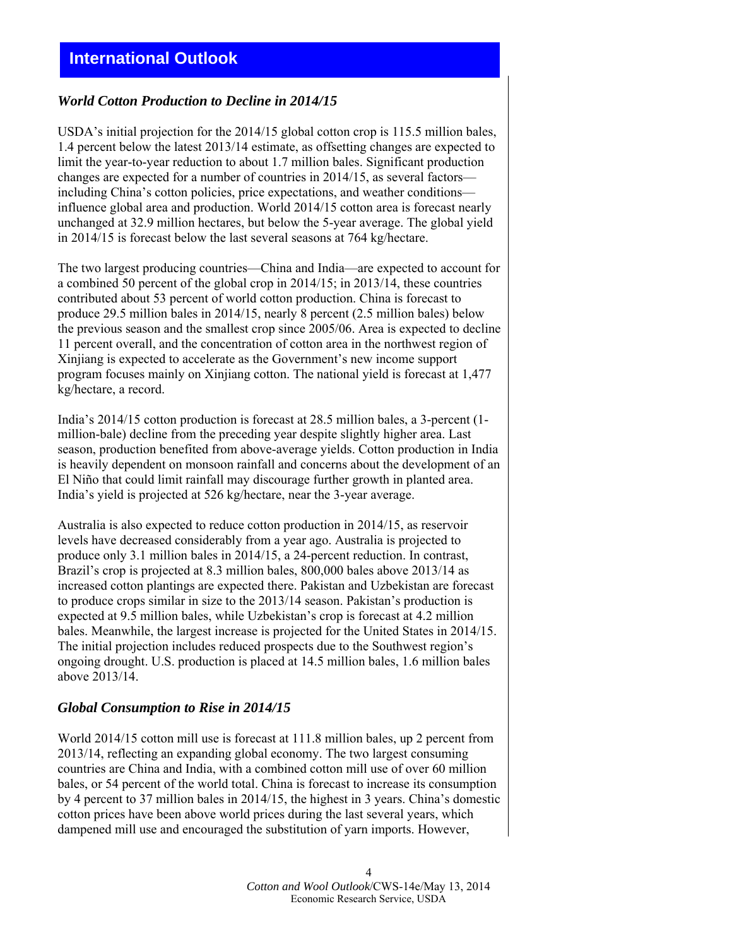## *World Cotton Production to Decline in 2014/15*

USDA's initial projection for the 2014/15 global cotton crop is 115.5 million bales, 1.4 percent below the latest 2013/14 estimate, as offsetting changes are expected to limit the year-to-year reduction to about 1.7 million bales. Significant production changes are expected for a number of countries in 2014/15, as several factors including China's cotton policies, price expectations, and weather conditions influence global area and production. World 2014/15 cotton area is forecast nearly unchanged at 32.9 million hectares, but below the 5-year average. The global yield in 2014/15 is forecast below the last several seasons at 764 kg/hectare.

The two largest producing countries—China and India—are expected to account for a combined 50 percent of the global crop in 2014/15; in 2013/14, these countries contributed about 53 percent of world cotton production. China is forecast to produce 29.5 million bales in 2014/15, nearly 8 percent (2.5 million bales) below the previous season and the smallest crop since 2005/06. Area is expected to decline 11 percent overall, and the concentration of cotton area in the northwest region of Xinjiang is expected to accelerate as the Government's new income support program focuses mainly on Xinjiang cotton. The national yield is forecast at 1,477 kg/hectare, a record.

India's 2014/15 cotton production is forecast at 28.5 million bales, a 3-percent (1 million-bale) decline from the preceding year despite slightly higher area. Last season, production benefited from above-average yields. Cotton production in India is heavily dependent on monsoon rainfall and concerns about the development of an El Niño that could limit rainfall may discourage further growth in planted area. India's yield is projected at 526 kg/hectare, near the 3-year average.

Australia is also expected to reduce cotton production in 2014/15, as reservoir levels have decreased considerably from a year ago. Australia is projected to produce only 3.1 million bales in 2014/15, a 24-percent reduction. In contrast, Brazil's crop is projected at 8.3 million bales, 800,000 bales above 2013/14 as increased cotton plantings are expected there. Pakistan and Uzbekistan are forecast to produce crops similar in size to the 2013/14 season. Pakistan's production is expected at 9.5 million bales, while Uzbekistan's crop is forecast at 4.2 million bales. Meanwhile, the largest increase is projected for the United States in 2014/15. The initial projection includes reduced prospects due to the Southwest region's ongoing drought. U.S. production is placed at 14.5 million bales, 1.6 million bales above 2013/14.

## *Global Consumption to Rise in 2014/15*

World 2014/15 cotton mill use is forecast at 111.8 million bales, up 2 percent from 2013/14, reflecting an expanding global economy. The two largest consuming countries are China and India, with a combined cotton mill use of over 60 million bales, or 54 percent of the world total. China is forecast to increase its consumption by 4 percent to 37 million bales in 2014/15, the highest in 3 years. China's domestic cotton prices have been above world prices during the last several years, which dampened mill use and encouraged the substitution of yarn imports. However,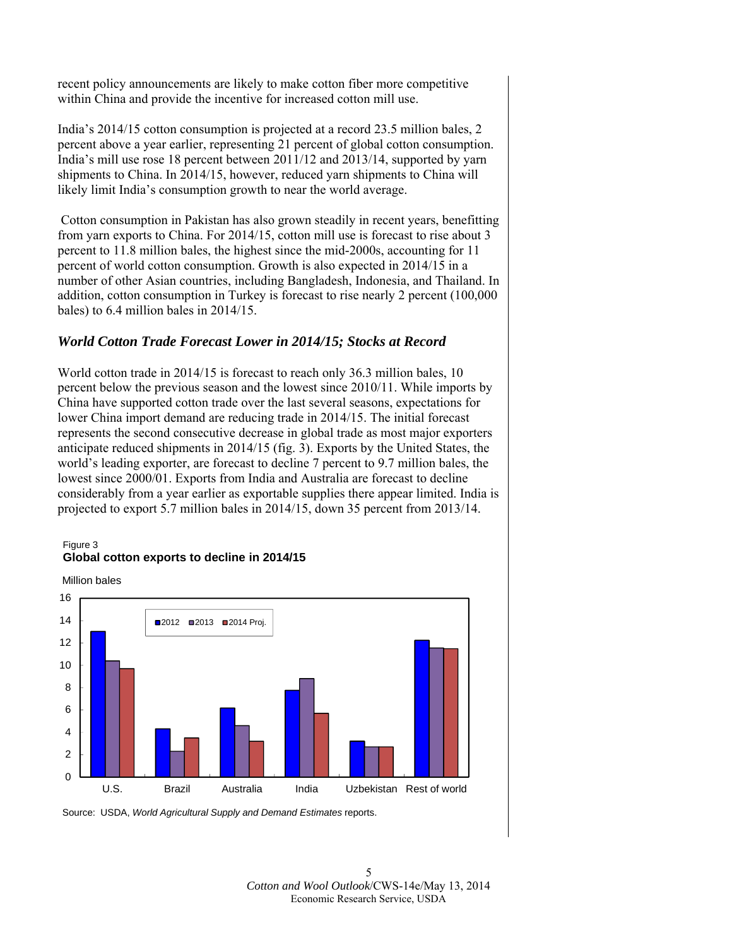recent policy announcements are likely to make cotton fiber more competitive within China and provide the incentive for increased cotton mill use.

India's 2014/15 cotton consumption is projected at a record 23.5 million bales, 2 percent above a year earlier, representing 21 percent of global cotton consumption. India's mill use rose 18 percent between 2011/12 and 2013/14, supported by yarn shipments to China. In 2014/15, however, reduced yarn shipments to China will likely limit India's consumption growth to near the world average.

 Cotton consumption in Pakistan has also grown steadily in recent years, benefitting from yarn exports to China. For 2014/15, cotton mill use is forecast to rise about 3 percent to 11.8 million bales, the highest since the mid-2000s, accounting for 11 percent of world cotton consumption. Growth is also expected in 2014/15 in a number of other Asian countries, including Bangladesh, Indonesia, and Thailand. In addition, cotton consumption in Turkey is forecast to rise nearly 2 percent (100,000 bales) to 6.4 million bales in 2014/15.

## *World Cotton Trade Forecast Lower in 2014/15; Stocks at Record*

World cotton trade in 2014/15 is forecast to reach only 36.3 million bales, 10 percent below the previous season and the lowest since 2010/11. While imports by China have supported cotton trade over the last several seasons, expectations for lower China import demand are reducing trade in 2014/15. The initial forecast represents the second consecutive decrease in global trade as most major exporters anticipate reduced shipments in 2014/15 (fig. 3). Exports by the United States, the world's leading exporter, are forecast to decline 7 percent to 9.7 million bales, the lowest since 2000/01. Exports from India and Australia are forecast to decline considerably from a year earlier as exportable supplies there appear limited. India is projected to export 5.7 million bales in 2014/15, down 35 percent from 2013/14.

#### Figure 3 **Global cotton exports to decline in 2014/15**

Million bales



Source: USDA, *World Agricultural Supply and Demand Estimates* reports.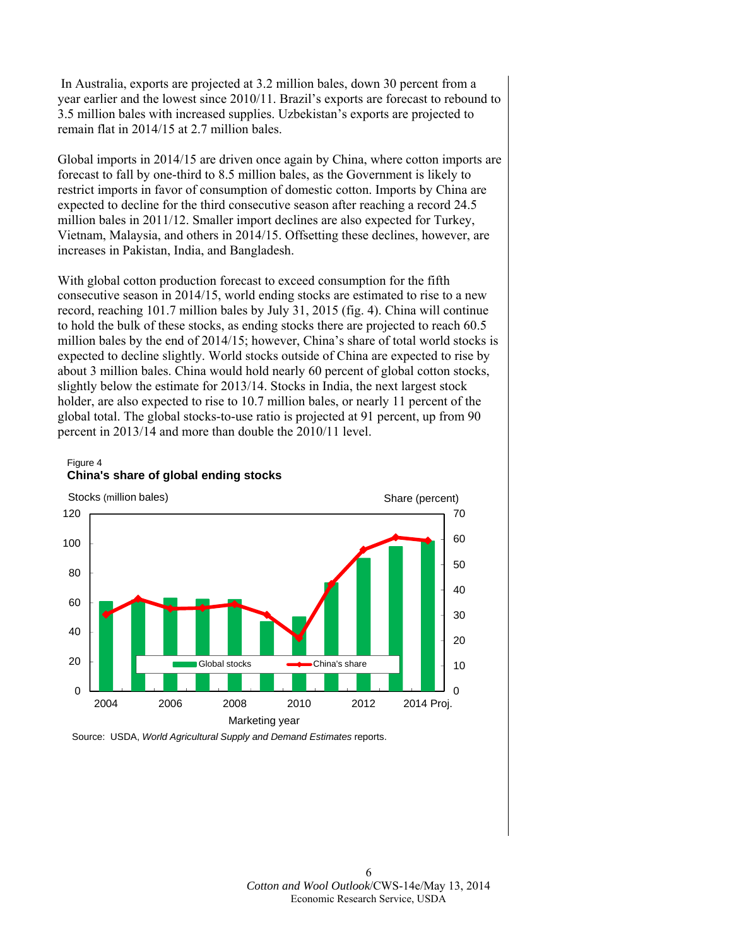In Australia, exports are projected at 3.2 million bales, down 30 percent from a year earlier and the lowest since 2010/11. Brazil's exports are forecast to rebound to 3.5 million bales with increased supplies. Uzbekistan's exports are projected to remain flat in 2014/15 at 2.7 million bales.

Global imports in 2014/15 are driven once again by China, where cotton imports are forecast to fall by one-third to 8.5 million bales, as the Government is likely to restrict imports in favor of consumption of domestic cotton. Imports by China are expected to decline for the third consecutive season after reaching a record 24.5 million bales in 2011/12. Smaller import declines are also expected for Turkey, Vietnam, Malaysia, and others in 2014/15. Offsetting these declines, however, are increases in Pakistan, India, and Bangladesh.

With global cotton production forecast to exceed consumption for the fifth consecutive season in 2014/15, world ending stocks are estimated to rise to a new record, reaching 101.7 million bales by July 31, 2015 (fig. 4). China will continue to hold the bulk of these stocks, as ending stocks there are projected to reach 60.5 million bales by the end of 2014/15; however, China's share of total world stocks is expected to decline slightly. World stocks outside of China are expected to rise by about 3 million bales. China would hold nearly 60 percent of global cotton stocks, slightly below the estimate for 2013/14. Stocks in India, the next largest stock holder, are also expected to rise to 10.7 million bales, or nearly 11 percent of the global total. The global stocks-to-use ratio is projected at 91 percent, up from 90 percent in 2013/14 and more than double the 2010/11 level.





Source: USDA, *World Agricultural Supply and Demand Estimates* reports.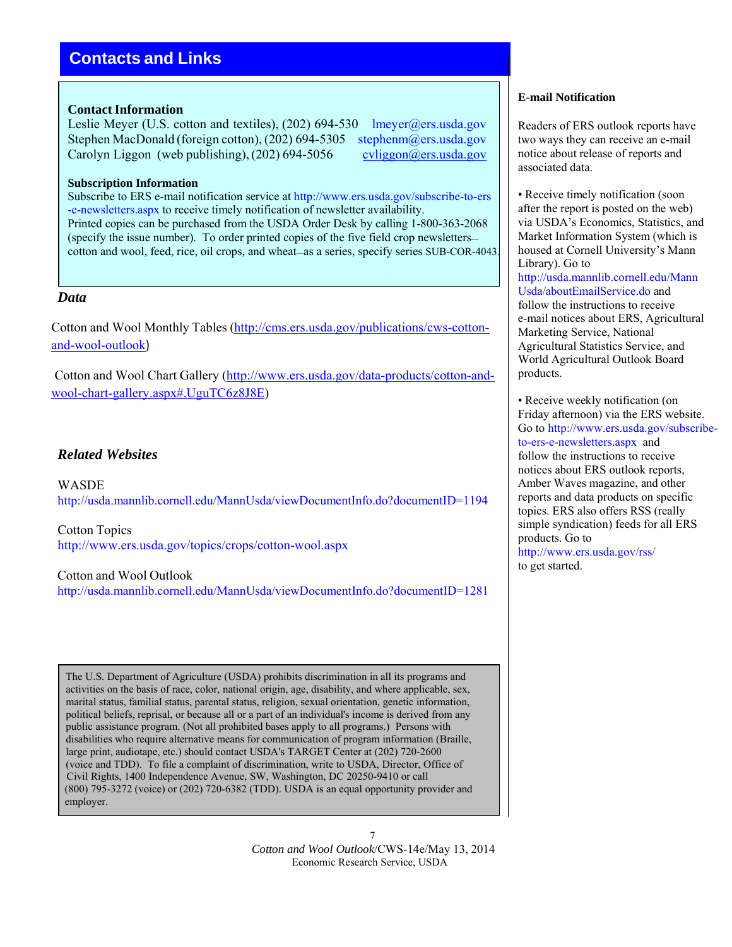# **Contacts and Links**

#### **Contact Information**

Leslie Meyer (U.S. cotton and textiles), (202) 694-530 lmeyer@ers.usda.gov Stephen MacDonald (foreign cotton), (202) 694-5305 stephenm@ers.usda.gov Carolyn Liggon (web publishing),  $(202)$  694-5056 cvliggon@ers.usda.gov

#### **Subscription Information**

Subscribe to ERS e-mail notification service at http://www.ers.usda.gov/subscribe-to-ers -e-newsletters.aspx to receive timely notification of newsletter availability. Printed copies can be purchased from the USDA Order Desk by calling 1-800-363-2068 (specify the issue number). To order printed copies of the five field crop newsletters cotton and wool, feed, rice, oil crops, and wheat—as a series, specify series SUB-COR-4043.

## *Data*

Cotton and Wool Monthly Tables (http://cms.ers.usda.gov/publications/cws-cottonand-wool-outlook)

Cotton and Wool Chart Gallery (http://www.ers.usda.gov/data-products/cotton-andwool-chart-gallery.aspx#.UguTC6z8J8E)

## *Related Websites*

WASDE http://usda.mannlib.cornell.edu/MannUsda/viewDocumentInfo.do?documentID=1194

Cotton Topics http://www.ers.usda.gov/topics/crops/cotton-wool.aspx

#### Cotton and Wool Outlook

http://usda.mannlib.cornell.edu/MannUsda/viewDocumentInfo.do?documentID=1281

The U.S. Department of Agriculture (USDA) prohibits discrimination in all its programs and activities on the basis of race, color, national origin, age, disability, and where applicable, sex, marital status, familial status, parental status, religion, sexual orientation, genetic information, political beliefs, reprisal, or because all or a part of an individual's income is derived from any public assistance program. (Not all prohibited bases apply to all programs.) Persons with disabilities who require alternative means for communication of program information (Braille, large print, audiotape, etc.) should contact USDA's TARGET Center at (202) 720-2600 (voice and TDD). To file a complaint of discrimination, write to USDA, Director, Office of Civil Rights, 1400 Independence Avenue, SW, Washington, DC 20250-9410 or call (800) 795-3272 (voice) or (202) 720-6382 (TDD). USDA is an equal opportunity provider and employer.

> 7 *Cotton and Wool Outlook*/CWS-14e/May 13, 2014 Economic Research Service, USDA

#### **E-mail Notification**

Readers of ERS outlook reports have two ways they can receive an e-mail notice about release of reports and associated data.

• Receive timely notification (soon) after the report is posted on the web) via USDA's Economics, Statistics, and Market Information System (which is housed at Cornell University's Mann Library). Go to http://usda.mannlib.cornell.edu/Mann Usda/aboutEmailService.do and follow the instructions to receive e-mail notices about ERS, Agricultural Marketing Service, National Agricultural Statistics Service, and World Agricultural Outlook Board products.

• Receive weekly notification (on Friday afternoon) via the ERS website. Go to http://www.ers.usda.gov/subscribeto-ers-e-newsletters.aspx and follow the instructions to receive notices about ERS outlook reports, Amber Waves magazine, and other reports and data products on specific topics. ERS also offers RSS (really simple syndication) feeds for all ERS products. Go to http://www.ers.usda.gov/rss/ to get started.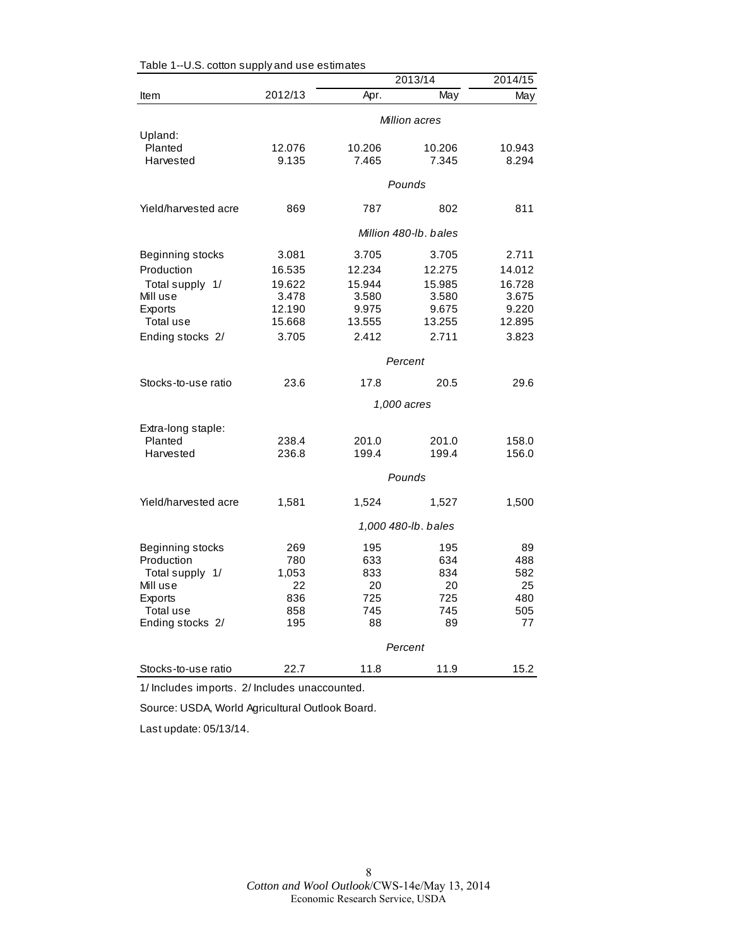|                                 |                 |                 | 2013/14               | 2014/15         |  |
|---------------------------------|-----------------|-----------------|-----------------------|-----------------|--|
| Item                            | 2012/13         | Apr.            | May                   | May             |  |
|                                 | Million acres   |                 |                       |                 |  |
| Upland:<br>Planted<br>Harvested | 12.076<br>9.135 | 10.206<br>7.465 | 10.206<br>7.345       | 10.943<br>8.294 |  |
|                                 |                 |                 | Pounds                |                 |  |
| Yield/harvested acre            | 869             | 787             | 802                   | 811             |  |
|                                 |                 |                 | Million 480-lb. bales |                 |  |
| Beginning stocks                | 3.081           | 3.705           | 3.705                 | 2.711           |  |
| Production                      | 16.535          | 12.234          | 12.275                | 14.012          |  |
| Total supply 1/                 | 19.622          | 15.944          | 15.985                | 16.728          |  |
| Mill use                        | 3.478           | 3.580           | 3.580                 | 3.675           |  |
| Exports                         | 12.190          | 9.975           | 9.675                 | 9.220           |  |
| Total use                       | 15.668          | 13.555          | 13.255                | 12.895          |  |
| Ending stocks 2/                | 3.705           | 2.412           | 2.711                 | 3.823           |  |
|                                 | Percent         |                 |                       |                 |  |
| Stocks-to-use ratio             | 23.6            | 17.8            | 20.5                  | 29.6            |  |
|                                 |                 |                 | 1,000 acres           |                 |  |
| Extra-long staple:              |                 |                 |                       |                 |  |
| Planted                         | 238.4           | 201.0           | 201.0                 | 158.0           |  |
| Harvested                       | 236.8           | 199.4           | 199.4                 | 156.0           |  |
|                                 |                 |                 | Pounds                |                 |  |
| Yield/harvested acre            | 1,581           | 1,524           | 1,527                 | 1,500           |  |
|                                 |                 |                 | 1,000 480-lb. bales   |                 |  |
| Beginning stocks                | 269             | 195             | 195                   | 89              |  |
| Production                      | 780             | 633             | 634                   | 488             |  |
| Total supply 1/                 | 1,053           | 833             | 834                   | 582             |  |
| Mill use                        | 22              | 20              | 20                    | 25              |  |
| Exports                         | 836             | 725             | 725                   | 480             |  |
| Total use                       | 858             | 745             | 745                   | 505             |  |
| Ending stocks 2/                | 195             | 88              | 89                    | 77              |  |
|                                 | Percent         |                 |                       |                 |  |
| Stocks-to-use ratio             | 22.7            | 11.8            | 11.9                  | 15.2            |  |

Table 1--U.S. cotton supply and use estimates

1/ Includes imports. 2/ Includes unaccounted.

Source: USDA, World Agricultural Outlook Board.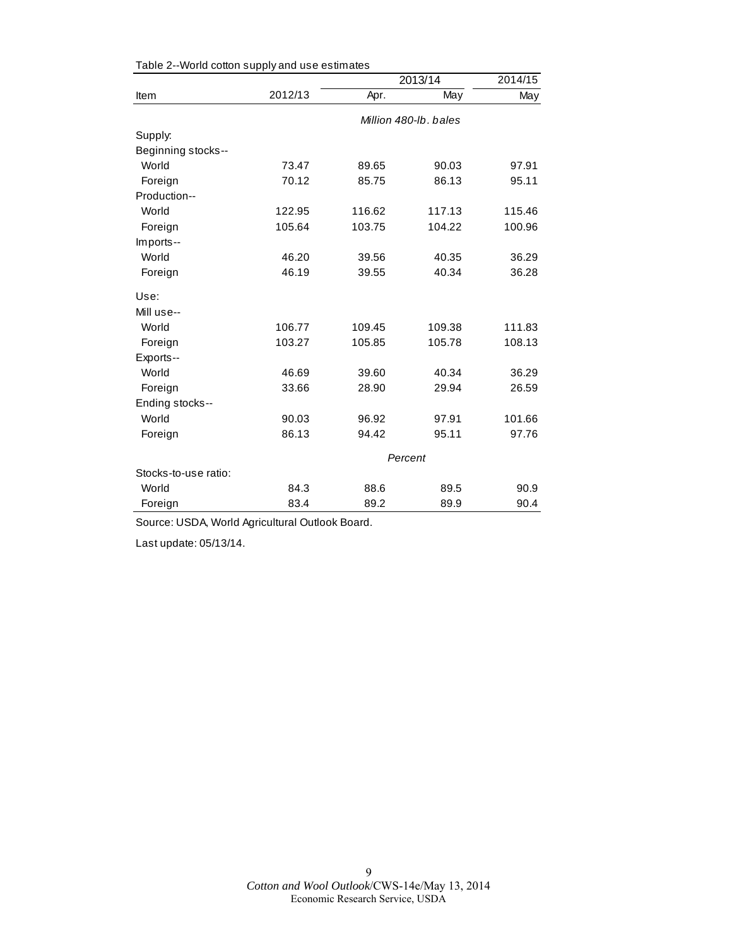|                      |         | 2013/14 | 2014/15               |        |  |
|----------------------|---------|---------|-----------------------|--------|--|
| Item                 | 2012/13 | Apr.    | May                   | May    |  |
|                      |         |         | Million 480-lb, bales |        |  |
| Supply:              |         |         |                       |        |  |
| Beginning stocks--   |         |         |                       |        |  |
| World                | 73.47   | 89.65   | 90.03                 | 97.91  |  |
| Foreign              | 70.12   | 85.75   | 86.13                 | 95.11  |  |
| Production--         |         |         |                       |        |  |
| World                | 122.95  | 116.62  | 117.13                | 115.46 |  |
| Foreign              | 105.64  | 103.75  | 104.22                | 100.96 |  |
| Imports--            |         |         |                       |        |  |
| World                | 46.20   | 39.56   | 40.35                 | 36.29  |  |
| Foreign              | 46.19   | 39.55   | 40.34                 | 36.28  |  |
| Use:                 |         |         |                       |        |  |
| Mill use--           |         |         |                       |        |  |
| World                | 106.77  | 109.45  | 109.38                | 111.83 |  |
| Foreign              | 103.27  | 105.85  | 105.78                | 108.13 |  |
| Exports--            |         |         |                       |        |  |
| World                | 46.69   | 39.60   | 40.34                 | 36.29  |  |
| Foreign              | 33.66   | 28.90   | 29.94                 | 26.59  |  |
| Ending stocks--      |         |         |                       |        |  |
| World                | 90.03   | 96.92   | 97.91                 | 101.66 |  |
| Foreign              | 86.13   | 94.42   | 95.11                 | 97.76  |  |
|                      | Percent |         |                       |        |  |
| Stocks-to-use ratio: |         |         |                       |        |  |
| World                | 84.3    | 88.6    | 89.5                  | 90.9   |  |
| Foreign              | 83.4    | 89.2    | 89.9                  | 90.4   |  |

Table 2--World cotton supply and use estimates

Source: USDA, World Agricultural Outlook Board.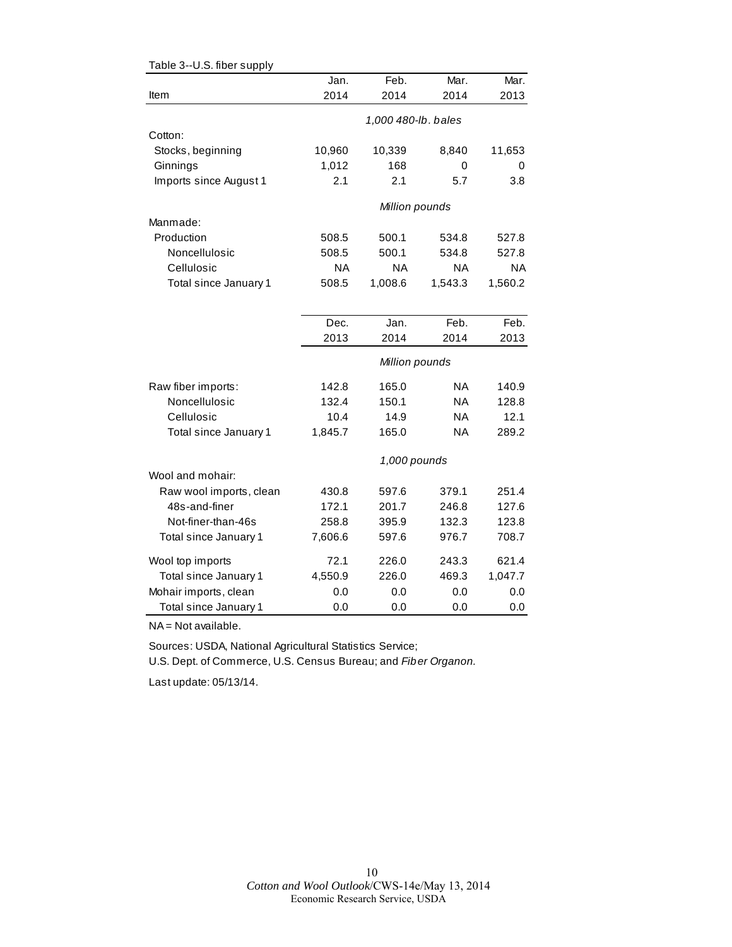| Table 3--U.S. fiber supply |           |                     |           |           |
|----------------------------|-----------|---------------------|-----------|-----------|
|                            | Jan.      | Feb.                | Mar.      | Mar.      |
| Item                       | 2014      | 2014                | 2014      | 2013      |
|                            |           | 1,000 480-lb. bales |           |           |
| Cotton:                    |           |                     |           |           |
| Stocks, beginning          | 10,960    | 10,339              | 8,840     | 11,653    |
| Ginnings                   | 1,012     | 168                 | 0         | 0         |
| Imports since August 1     | 2.1       | 2.1                 | 5.7       | 3.8       |
|                            |           | Million pounds      |           |           |
| Manmade:                   |           |                     |           |           |
| Production                 | 508.5     | 500.1               | 534.8     | 527.8     |
| Noncellulosic              | 508.5     | 500.1               | 534.8     | 527.8     |
| Cellulosic                 | <b>NA</b> | <b>NA</b>           | <b>NA</b> | <b>NA</b> |
| Total since January 1      | 508.5     | 1,008.6             | 1,543.3   | 1,560.2   |
|                            |           |                     |           |           |
|                            | Dec.      | Jan.                | Feb.      | Feb.      |
|                            | 2013      | 2014                | 2014      | 2013      |
|                            |           | Million pounds      |           |           |
| Raw fiber imports:         | 142.8     | 165.0               | NA        | 140.9     |
| Noncellulosic              | 132.4     | 150.1               | <b>NA</b> | 128.8     |
| Cellulosic                 | 10.4      | 14.9                | <b>NA</b> | 12.1      |
| Total since January 1      | 1,845.7   | 165.0               | <b>NA</b> | 289.2     |
|                            |           | 1,000 pounds        |           |           |
| Wool and mohair:           |           |                     |           |           |
| Raw wool imports, clean    | 430.8     | 597.6               | 379.1     | 251.4     |
| 48s-and-finer              | 172.1     | 201.7               | 246.8     | 127.6     |
| Not-finer-than-46s         | 258.8     | 395.9               | 132.3     | 123.8     |
| Total since January 1      | 7,606.6   | 597.6               | 976.7     | 708.7     |
| Wool top imports           | 72.1      | 226.0               | 243.3     | 621.4     |
| Total since January 1      | 4,550.9   | 226.0               | 469.3     | 1,047.7   |
| Mohair imports, clean      | 0.0       | 0.0                 | 0.0       | 0.0       |
| Total since January 1      | 0.0       | 0.0                 | 0.0       | 0.0       |

NA = Not available.

Sources: USDA, National Agricultural Statistics Service;

U.S. Dept. of Commerce, U.S. Census Bureau; and *Fiber Organon.*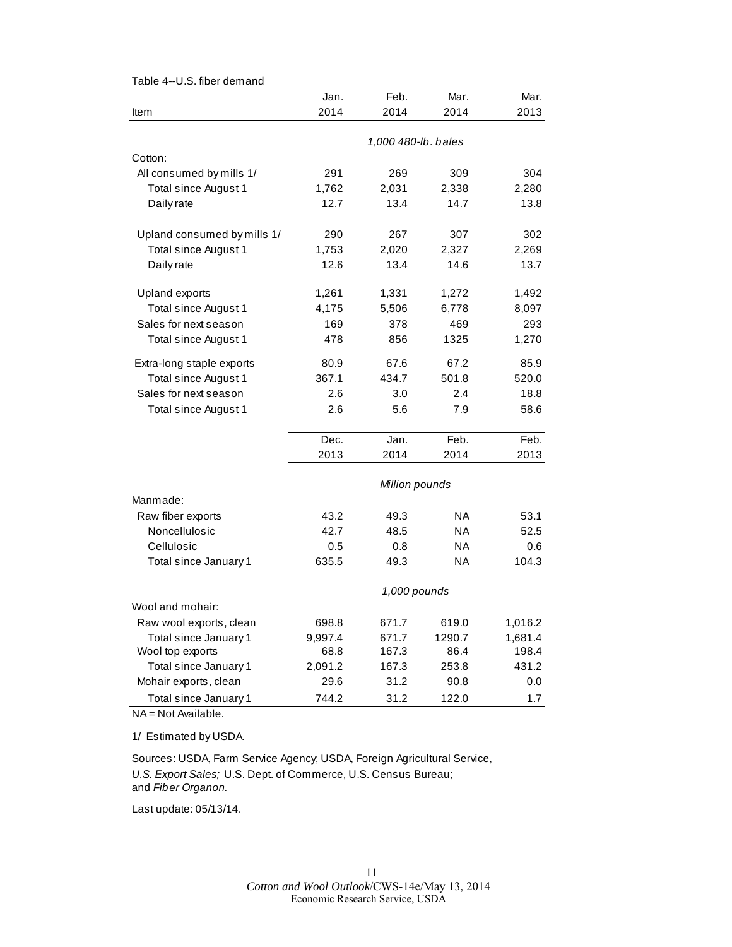|                             | Jan.           | Feb.                | Mar.      | Mar.    |  |  |
|-----------------------------|----------------|---------------------|-----------|---------|--|--|
| Item                        | 2014           | 2014                | 2014      | 2013    |  |  |
|                             |                | 1,000 480-lb. bales |           |         |  |  |
| Cotton:                     |                |                     |           |         |  |  |
| All consumed by mills 1/    | 291            | 269                 | 309       | 304     |  |  |
| Total since August 1        | 1,762          | 2,031               | 2,338     | 2,280   |  |  |
| Daily rate                  | 12.7           | 13.4                | 14.7      | 13.8    |  |  |
| Upland consumed by mills 1/ | 290            | 267                 | 307       | 302     |  |  |
| Total since August 1        | 1,753          | 2,020               | 2,327     | 2,269   |  |  |
| Daily rate                  | 12.6           | 13.4                | 14.6      | 13.7    |  |  |
| Upland exports              | 1,261          | 1,331               | 1,272     | 1,492   |  |  |
| Total since August 1        | 4,175          | 5,506               | 6,778     | 8,097   |  |  |
| Sales for next season       | 169            | 378                 | 469       | 293     |  |  |
| Total since August 1        | 478            | 856                 | 1325      | 1,270   |  |  |
| Extra-long staple exports   | 80.9           | 67.6                | 67.2      | 85.9    |  |  |
| Total since August 1        | 367.1          | 434.7               | 501.8     | 520.0   |  |  |
| Sales for next season       | 2.6            | 3.0                 | 2.4       | 18.8    |  |  |
| Total since August 1        | 2.6            | 5.6                 | 7.9       | 58.6    |  |  |
|                             | Dec.           | Jan.                | Feb.      | Feb.    |  |  |
|                             | 2013           | 2014                | 2014      | 2013    |  |  |
|                             | Million pounds |                     |           |         |  |  |
| Manmade:                    |                |                     |           |         |  |  |
| Raw fiber exports           | 43.2           | 49.3                | <b>NA</b> | 53.1    |  |  |
| Noncellulosic               | 42.7           | 48.5                | ΝA        | 52.5    |  |  |
| Cellulosic                  | 0.5            | 0.8                 | <b>NA</b> | 0.6     |  |  |
| Total since January 1       | 635.5          | 49.3                | <b>NA</b> | 104.3   |  |  |
|                             | 1,000 pounds   |                     |           |         |  |  |
| Wool and mohair:            |                |                     |           |         |  |  |
| Raw wool exports, clean     | 698.8          | 671.7               | 619.0     | 1,016.2 |  |  |
| Total since January 1       | 9,997.4        | 671.7               | 1290.7    | 1,681.4 |  |  |
| Wool top exports            | 68.8           | 167.3               | 86.4      | 198.4   |  |  |
| Total since January 1       | 2,091.2        | 167.3               | 253.8     | 431.2   |  |  |
| Mohair exports, clean       | 29.6           | 31.2                | 90.8      | 0.0     |  |  |
| Total since January 1       | 744.2          | 31.2                | 122.0     | $1.7$   |  |  |

Table 4--U.S. fiber demand

NA = Not Available.

1/ Estimated by USDA.

Sources: USDA, Farm Service Agency; USDA, Foreign Agricultural Service, *U.S. Export Sales;* U.S. Dept. of Commerce, U.S. Census Bureau; and *Fiber Organon.*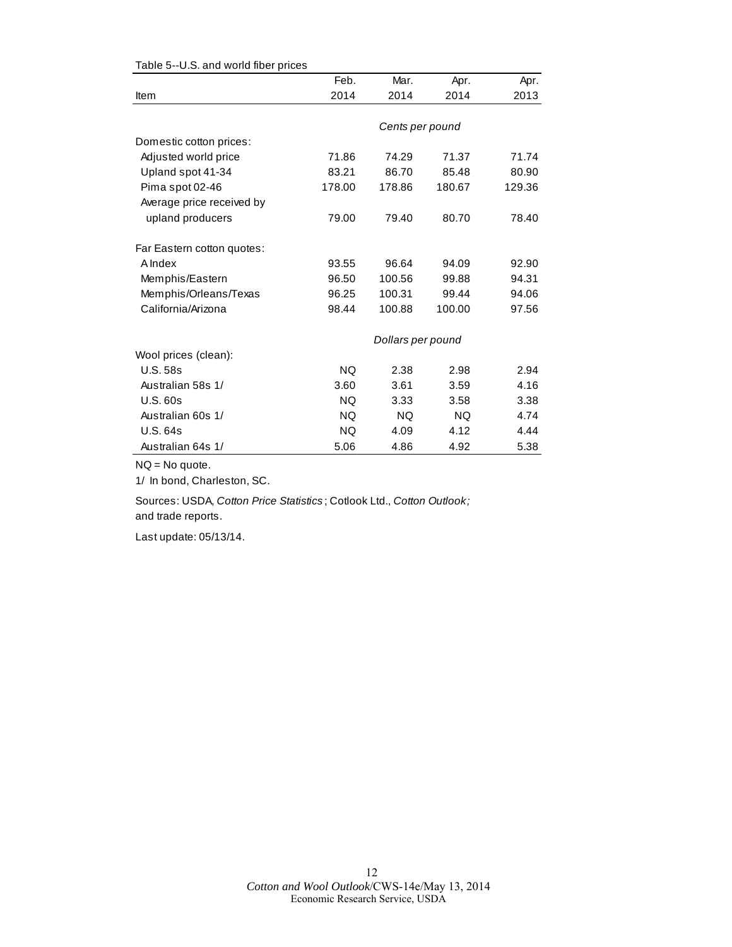|                            | Feb.      | Mar.              | Apr.   | Apr.   |
|----------------------------|-----------|-------------------|--------|--------|
| Item                       | 2014      | 2014              | 2014   | 2013   |
|                            |           |                   |        |        |
|                            |           | Cents per pound   |        |        |
| Domestic cotton prices:    |           |                   |        |        |
| Adjusted world price       | 71.86     | 74.29             | 71.37  | 71.74  |
| Upland spot 41-34          | 83.21     | 86.70             | 85.48  | 80.90  |
| Pima spot 02-46            | 178.00    | 178.86            | 180.67 | 129.36 |
| Average price received by  |           |                   |        |        |
| upland producers           | 79.00     | 79.40             | 80.70  | 78.40  |
| Far Eastern cotton quotes: |           |                   |        |        |
| A Index                    | 93.55     | 96.64             | 94.09  | 92.90  |
| Memphis/Eastern            | 96.50     | 100.56            | 99.88  | 94.31  |
| Memphis/Orleans/Texas      | 96.25     | 100.31            | 99.44  | 94.06  |
| California/Arizona         | 98.44     | 100.88            | 100.00 | 97.56  |
|                            |           | Dollars per pound |        |        |
| Wool prices (clean):       |           |                   |        |        |
| <b>U.S. 58s</b>            | <b>NQ</b> | 2.38              | 2.98   | 2.94   |
| Australian 58s 1/          | 3.60      | 3.61              | 3.59   | 4.16   |
| U.S. 60s                   | <b>NQ</b> | 3.33              | 3.58   | 3.38   |
| Australian 60s 1/          | <b>NQ</b> | <b>NQ</b>         | NQ.    | 4.74   |
| <b>U.S. 64s</b>            | <b>NQ</b> | 4.09              | 4.12   | 4.44   |
| Australian 64s 1/          | 5.06      | 4.86              | 4.92   | 5.38   |

#### Table 5--U.S. and world fiber prices

NQ = No quote.

1/ In bond, Charleston, SC.

Sources: USDA, *Cotton Price Statistics* ; Cotlook Ltd., *Cotton Outlook;*  and trade reports.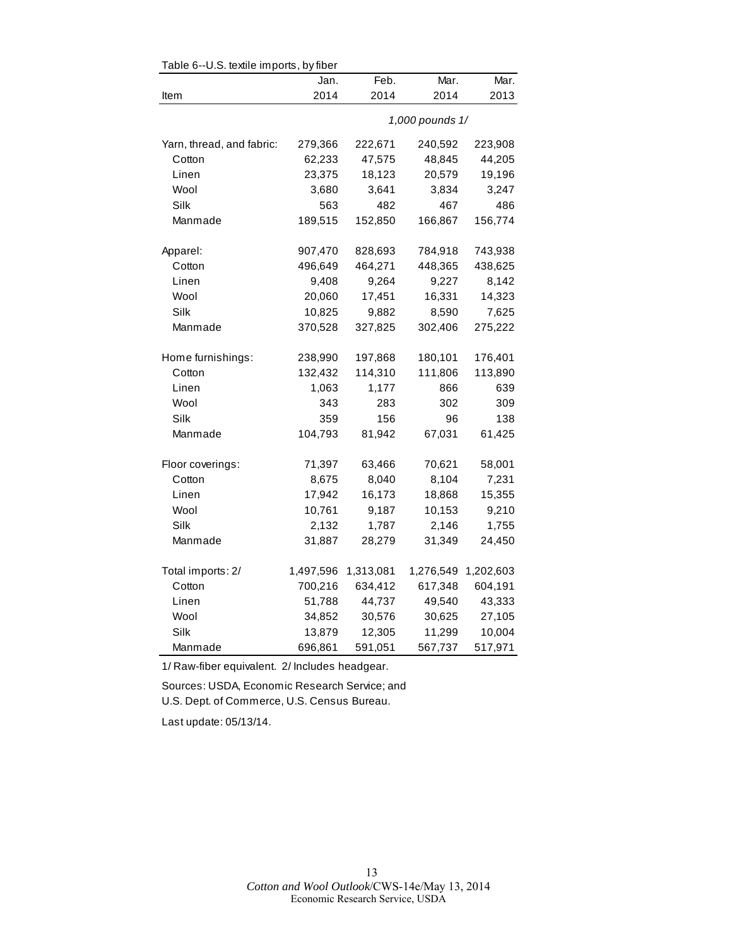| Table 6--U.S. textile imports, by fiber |           |           |                 |           |
|-----------------------------------------|-----------|-----------|-----------------|-----------|
|                                         | Jan.      | Feb.      | Mar.            | Mar.      |
| Item                                    | 2014      | 2014      | 2014            | 2013      |
|                                         |           |           | 1,000 pounds 1/ |           |
| Yarn, thread, and fabric:               | 279,366   | 222,671   | 240,592         | 223,908   |
| Cotton                                  | 62,233    | 47,575    | 48,845          | 44,205    |
| Linen                                   | 23,375    | 18,123    | 20,579          | 19,196    |
| Wool                                    | 3,680     | 3,641     | 3,834           | 3,247     |
| Silk                                    | 563       | 482       | 467             | 486       |
| Manmade                                 | 189,515   | 152,850   | 166,867         | 156,774   |
| Apparel:                                | 907,470   | 828,693   | 784,918         | 743,938   |
| Cotton                                  | 496,649   | 464,271   | 448,365         | 438,625   |
| Linen                                   | 9,408     | 9,264     | 9,227           | 8,142     |
| Wool                                    | 20,060    | 17,451    | 16,331          | 14,323    |
| Silk                                    | 10,825    | 9,882     | 8,590           | 7,625     |
| Manmade                                 | 370,528   | 327,825   | 302,406         | 275,222   |
| Home furnishings:                       | 238,990   | 197,868   | 180,101         | 176,401   |
| Cotton                                  | 132,432   | 114,310   | 111,806         | 113,890   |
| Linen                                   | 1,063     | 1,177     | 866             | 639       |
| Wool                                    | 343       | 283       | 302             | 309       |
| Silk                                    | 359       | 156       | 96              | 138       |
| Manmade                                 | 104,793   | 81,942    | 67,031          | 61,425    |
| Floor coverings:                        | 71,397    | 63,466    | 70,621          | 58,001    |
| Cotton                                  | 8,675     | 8,040     | 8,104           | 7,231     |
| Linen                                   | 17,942    | 16,173    | 18,868          | 15,355    |
| Wool                                    | 10,761    | 9,187     | 10,153          | 9,210     |
| Silk                                    | 2,132     | 1,787     | 2,146           | 1,755     |
| Manmade                                 | 31,887    | 28,279    | 31,349          | 24,450    |
| Total imports: 2/                       | 1,497,596 | 1,313,081 | 1,276,549       | 1,202,603 |
| Cotton                                  | 700,216   | 634,412   | 617,348         | 604,191   |
| Linen                                   | 51,788    | 44,737    | 49,540          | 43,333    |
| Wool                                    | 34,852    | 30,576    | 30,625          | 27,105    |
| Silk                                    | 13,879    | 12,305    | 11,299          | 10,004    |
| Manmade                                 | 696,861   | 591,051   | 567,737         | 517,971   |

 $\mathsf{TableC}$  -LLC textile imports, by fib

1/ Raw-fiber equivalent. 2/ Includes headgear.

Sources: USDA, Economic Research Service; and U.S. Dept. of Commerce, U.S. Census Bureau.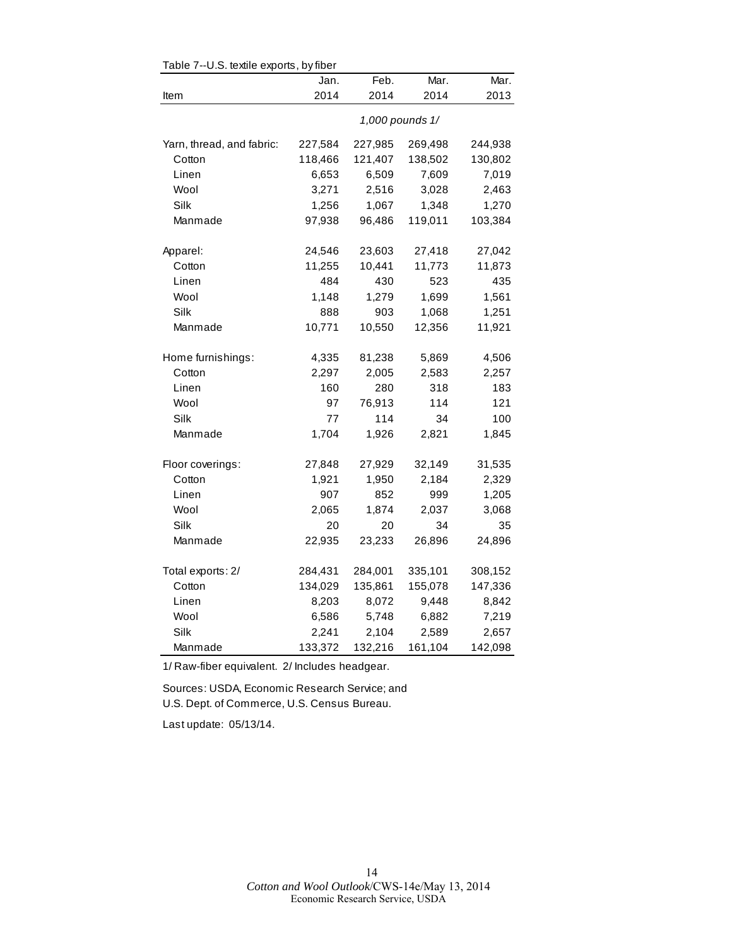|                                                                                                                                     | Jan.                                                                                                                                                 | Feb.                                                                                                                                                | Mar.                                                                                                                                                    | Mar.                                          |  |  |
|-------------------------------------------------------------------------------------------------------------------------------------|------------------------------------------------------------------------------------------------------------------------------------------------------|-----------------------------------------------------------------------------------------------------------------------------------------------------|---------------------------------------------------------------------------------------------------------------------------------------------------------|-----------------------------------------------|--|--|
|                                                                                                                                     | 2014                                                                                                                                                 | 2014                                                                                                                                                | 2014                                                                                                                                                    | 2013                                          |  |  |
|                                                                                                                                     | 1,000 pounds 1/                                                                                                                                      |                                                                                                                                                     |                                                                                                                                                         |                                               |  |  |
| Yarn, thread, and fabric:                                                                                                           | 227,584                                                                                                                                              | 227,985                                                                                                                                             | 269,498                                                                                                                                                 | 244,938                                       |  |  |
| Cotton                                                                                                                              | 118,466                                                                                                                                              | 121,407                                                                                                                                             | 138,502                                                                                                                                                 | 130,802                                       |  |  |
| Linen                                                                                                                               | 6,653                                                                                                                                                | 6,509                                                                                                                                               | 7,609                                                                                                                                                   | 7,019                                         |  |  |
| Wool                                                                                                                                | 3,271                                                                                                                                                | 2,516                                                                                                                                               | 3,028                                                                                                                                                   | 2,463                                         |  |  |
| Silk                                                                                                                                | 1,256                                                                                                                                                | 1,067                                                                                                                                               | 1,348                                                                                                                                                   | 1,270                                         |  |  |
| Manmade                                                                                                                             | 97,938                                                                                                                                               | 96,486                                                                                                                                              | 119,011                                                                                                                                                 | 103,384                                       |  |  |
|                                                                                                                                     |                                                                                                                                                      |                                                                                                                                                     |                                                                                                                                                         |                                               |  |  |
|                                                                                                                                     |                                                                                                                                                      |                                                                                                                                                     |                                                                                                                                                         | 27,042                                        |  |  |
| Cotton                                                                                                                              |                                                                                                                                                      |                                                                                                                                                     |                                                                                                                                                         | 11,873                                        |  |  |
| Linen                                                                                                                               |                                                                                                                                                      | 430                                                                                                                                                 | 523                                                                                                                                                     | 435                                           |  |  |
| Wool                                                                                                                                |                                                                                                                                                      |                                                                                                                                                     |                                                                                                                                                         | 1,561                                         |  |  |
| Silk                                                                                                                                | 888                                                                                                                                                  | 903                                                                                                                                                 |                                                                                                                                                         | 1,251                                         |  |  |
| Manmade                                                                                                                             |                                                                                                                                                      |                                                                                                                                                     |                                                                                                                                                         | 11,921                                        |  |  |
|                                                                                                                                     |                                                                                                                                                      |                                                                                                                                                     |                                                                                                                                                         |                                               |  |  |
|                                                                                                                                     |                                                                                                                                                      |                                                                                                                                                     |                                                                                                                                                         |                                               |  |  |
|                                                                                                                                     |                                                                                                                                                      |                                                                                                                                                     |                                                                                                                                                         | 183                                           |  |  |
|                                                                                                                                     |                                                                                                                                                      |                                                                                                                                                     |                                                                                                                                                         | 121                                           |  |  |
|                                                                                                                                     |                                                                                                                                                      |                                                                                                                                                     |                                                                                                                                                         | 100                                           |  |  |
|                                                                                                                                     |                                                                                                                                                      |                                                                                                                                                     |                                                                                                                                                         |                                               |  |  |
|                                                                                                                                     |                                                                                                                                                      |                                                                                                                                                     |                                                                                                                                                         |                                               |  |  |
| Floor coverings:                                                                                                                    | 27,848                                                                                                                                               | 27,929                                                                                                                                              | 32,149                                                                                                                                                  | 31,535                                        |  |  |
| Cotton                                                                                                                              | 1,921                                                                                                                                                | 1,950                                                                                                                                               | 2,184                                                                                                                                                   | 2,329                                         |  |  |
| Linen                                                                                                                               | 907                                                                                                                                                  | 852                                                                                                                                                 | 999                                                                                                                                                     | 1,205                                         |  |  |
| Wool                                                                                                                                | 2,065                                                                                                                                                | 1,874                                                                                                                                               | 2,037                                                                                                                                                   | 3,068                                         |  |  |
| Silk                                                                                                                                | 20                                                                                                                                                   | 20                                                                                                                                                  | 34                                                                                                                                                      | 35                                            |  |  |
| Manmade                                                                                                                             | 22,935                                                                                                                                               | 23,233                                                                                                                                              | 26,896                                                                                                                                                  | 24,896                                        |  |  |
|                                                                                                                                     |                                                                                                                                                      |                                                                                                                                                     |                                                                                                                                                         |                                               |  |  |
|                                                                                                                                     |                                                                                                                                                      |                                                                                                                                                     |                                                                                                                                                         |                                               |  |  |
|                                                                                                                                     |                                                                                                                                                      |                                                                                                                                                     |                                                                                                                                                         | 8,842                                         |  |  |
|                                                                                                                                     |                                                                                                                                                      |                                                                                                                                                     |                                                                                                                                                         | 7,219                                         |  |  |
|                                                                                                                                     |                                                                                                                                                      |                                                                                                                                                     |                                                                                                                                                         | 2,657                                         |  |  |
| Manmade                                                                                                                             |                                                                                                                                                      |                                                                                                                                                     |                                                                                                                                                         | 142,098                                       |  |  |
| Apparel:<br>Home furnishings:<br>Cotton<br>Linen<br>Wool<br>Silk<br>Manmade<br>Total exports: 2/<br>Cotton<br>Linen<br>Wool<br>Silk | 24,546<br>11,255<br>484<br>1,148<br>10,771<br>4,335<br>2,297<br>160<br>97<br>77<br>1,704<br>284,431<br>134,029<br>8,203<br>6,586<br>2,241<br>133,372 | 23,603<br>10,441<br>1,279<br>10,550<br>81,238<br>2,005<br>280<br>76,913<br>114<br>1,926<br>284,001<br>135,861<br>8,072<br>5,748<br>2,104<br>132,216 | 27,418<br>11,773<br>1,699<br>1,068<br>12,356<br>5,869<br>2,583<br>318<br>114<br>34<br>2,821<br>335,101<br>155,078<br>9,448<br>6,882<br>2,589<br>161,104 | 4,506<br>2,257<br>1,845<br>308,152<br>147,336 |  |  |

Table 7--U.S. textile exports, by fiber

1/ Raw-fiber equivalent. 2/ Includes headgear.

Sources: USDA, Economic Research Service; and U.S. Dept. of Commerce, U.S. Census Bureau.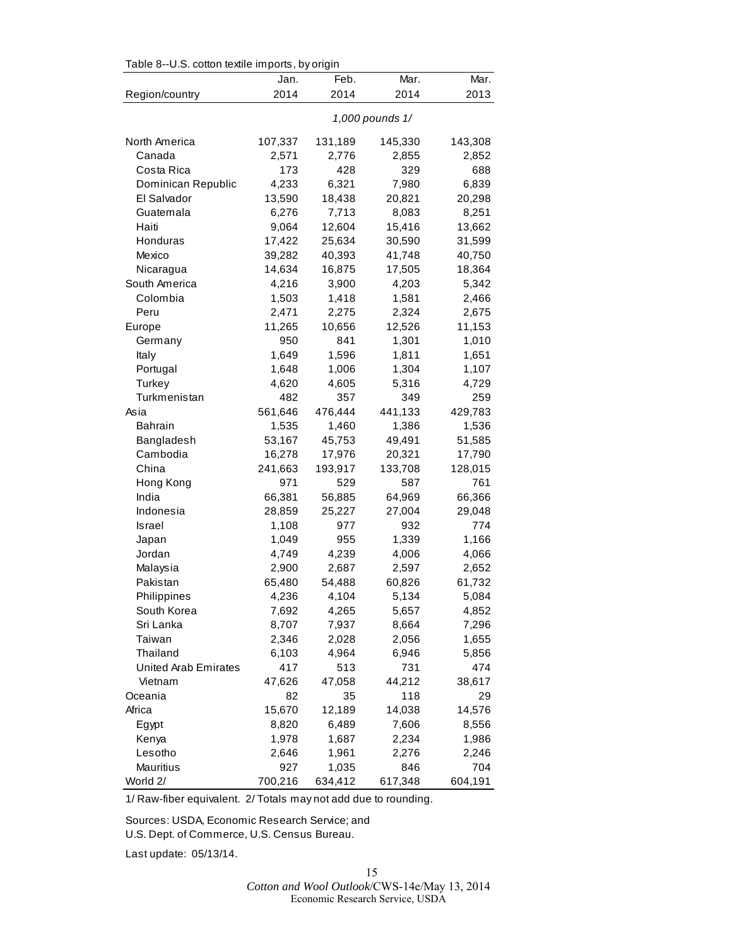|                      | Table 8--U.S. cotton textile imports, by origin |         |         |         |  |  |
|----------------------|-------------------------------------------------|---------|---------|---------|--|--|
|                      | Jan.                                            | Feb.    | Mar.    | Mar.    |  |  |
| Region/country       | 2014                                            | 2014    | 2014    | 2013    |  |  |
|                      | 1,000 pounds 1/                                 |         |         |         |  |  |
| North America        | 107,337                                         | 131,189 | 145,330 | 143,308 |  |  |
| Canada               | 2,571                                           | 2,776   | 2,855   | 2,852   |  |  |
| Costa Rica           | 173                                             | 428     | 329     | 688     |  |  |
| Dominican Republic   | 4,233                                           | 6,321   | 7,980   | 6,839   |  |  |
| El Salvador          | 13,590                                          | 18,438  | 20,821  | 20,298  |  |  |
| Guatemala            | 6,276                                           | 7,713   | 8,083   | 8,251   |  |  |
| Haiti                | 9,064                                           | 12,604  | 15,416  | 13,662  |  |  |
| Honduras             | 17,422                                          | 25,634  | 30,590  | 31,599  |  |  |
| Mexico               | 39,282                                          | 40,393  | 41,748  | 40,750  |  |  |
| Nicaragua            | 14,634                                          | 16,875  | 17,505  | 18,364  |  |  |
| South America        | 4,216                                           | 3,900   | 4,203   | 5,342   |  |  |
| Colombia             | 1,503                                           | 1,418   | 1,581   | 2,466   |  |  |
| Peru                 | 2,471                                           | 2,275   | 2,324   | 2,675   |  |  |
| Europe               | 11,265                                          | 10,656  | 12,526  | 11,153  |  |  |
| Germany              | 950                                             | 841     | 1,301   | 1,010   |  |  |
| Italy                | 1,649                                           | 1,596   | 1,811   | 1,651   |  |  |
| Portugal             | 1,648                                           | 1,006   | 1,304   | 1,107   |  |  |
| Turkey               | 4,620                                           | 4,605   | 5,316   | 4,729   |  |  |
| Turkmenistan         | 482                                             | 357     | 349     | 259     |  |  |
| Asia                 | 561,646                                         | 476,444 | 441,133 | 429,783 |  |  |
| <b>Bahrain</b>       | 1,535                                           | 1,460   | 1,386   | 1,536   |  |  |
| Bangladesh           | 53,167                                          | 45,753  | 49,491  | 51,585  |  |  |
| Cambodia             | 16,278                                          | 17,976  | 20,321  | 17,790  |  |  |
| China                | 241,663                                         | 193,917 | 133,708 | 128,015 |  |  |
| Hong Kong            | 971                                             | 529     | 587     | 761     |  |  |
| India                | 66,381                                          | 56,885  | 64,969  | 66,366  |  |  |
| Indonesia            | 28,859                                          | 25,227  | 27,004  | 29,048  |  |  |
| Israel               | 1,108                                           | 977     | 932     | 774     |  |  |
| Japan                | 1,049                                           | 955     | 1,339   | 1,166   |  |  |
| Jordan               | 4,749                                           | 4,239   | 4,006   | 4,066   |  |  |
| Malaysia             | 2,900                                           | 2,687   | 2,597   | 2,652   |  |  |
| Pakistan             | 65,480                                          | 54,488  | 60,826  | 61,732  |  |  |
| Philippines          | 4,236                                           | 4,104   | 5,134   | 5,084   |  |  |
| South Korea          | 7,692                                           | 4,265   | 5,657   | 4,852   |  |  |
| Sri Lanka            | 8,707                                           | 7,937   | 8,664   | 7,296   |  |  |
| Taiwan               | 2,346                                           | 2,028   | 2,056   | 1,655   |  |  |
| Thailand             | 6,103                                           | 4,964   | 6,946   | 5,856   |  |  |
| United Arab Emirates | 417                                             | 513     | 731     | 474     |  |  |
| Vietnam              | 47,626                                          | 47,058  | 44,212  | 38,617  |  |  |
| Oceania              | 82                                              | 35      | 118     | 29      |  |  |
| Africa               | 15,670                                          | 12,189  | 14,038  | 14,576  |  |  |
| Egypt                | 8,820                                           | 6,489   | 7,606   | 8,556   |  |  |
| Kenya                | 1,978                                           | 1,687   | 2,234   | 1,986   |  |  |
| Lesotho              | 2,646                                           | 1,961   | 2,276   | 2,246   |  |  |
| Mauritius            | 927                                             | 1,035   | 846     | 704     |  |  |
| World 2/             | 700,216                                         | 634,412 | 617,348 | 604,191 |  |  |

Table 8--U.S. cotton textile imports, by origin

1/ Raw-fiber equivalent. 2/ Totals may not add due to rounding.

Sources: USDA, Economic Research Service; and U.S. Dept. of Commerce, U.S. Census Bureau.

Last update: 05/13/14.

15 *Cotton and Wool Outlook*/CWS-14e/May 13, 2014 Economic Research Service, USDA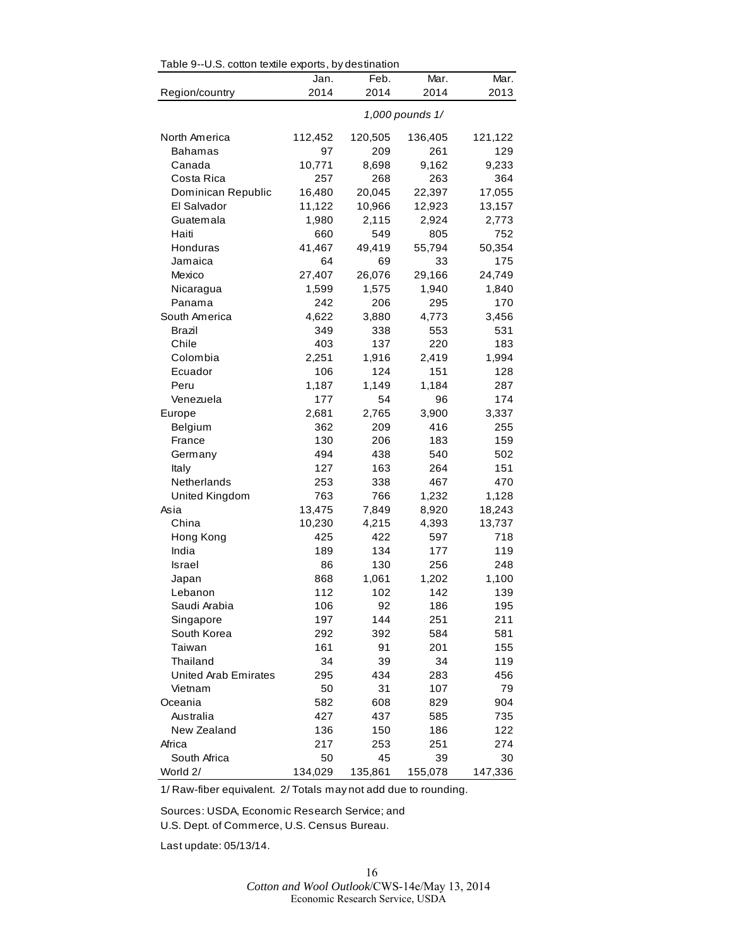| Table 9--U.S. cotton textile exports, by destination |                 |         |         |         |  |
|------------------------------------------------------|-----------------|---------|---------|---------|--|
|                                                      | Jan.            | Feb.    | Mar.    | Mar.    |  |
| Region/country                                       | 2014            | 2014    | 2014    | 2013    |  |
|                                                      | 1,000 pounds 1/ |         |         |         |  |
| North America                                        | 112,452         | 120,505 | 136,405 | 121,122 |  |
| Bahamas                                              | 97              | 209     | 261     | 129     |  |
| Canada                                               | 10,771          | 8,698   | 9,162   | 9,233   |  |
| Costa Rica                                           | 257             | 268     | 263     | 364     |  |
| Dominican Republic                                   | 16,480          | 20,045  | 22,397  | 17,055  |  |
| El Salvador                                          | 11,122          | 10,966  | 12,923  | 13,157  |  |
| Guatemala                                            | 1,980           | 2,115   | 2,924   | 2,773   |  |
| Haiti                                                | 660             | 549     | 805     | 752     |  |
| Honduras                                             | 41,467          | 49,419  | 55,794  | 50,354  |  |
| Jamaica                                              | 64              | 69      | 33      | 175     |  |
| Mexico                                               | 27,407          | 26,076  | 29,166  | 24,749  |  |
| Nicaragua                                            | 1,599           | 1,575   | 1,940   | 1,840   |  |
| Panama                                               | 242             | 206     | 295     | 170     |  |
| South America                                        | 4,622           | 3,880   | 4,773   | 3,456   |  |
| Brazil                                               | 349             | 338     | 553     | 531     |  |
| Chile                                                | 403             | 137     | 220     | 183     |  |
| Colombia                                             | 2,251           | 1,916   | 2,419   | 1,994   |  |
| Ecuador                                              | 106             | 124     | 151     | 128     |  |
| Peru                                                 | 1,187           | 1,149   | 1,184   | 287     |  |
| Venezuela                                            | 177             | 54      | 96      | 174     |  |
| Europe                                               | 2,681           | 2,765   | 3,900   | 3,337   |  |
| Belgium                                              | 362             | 209     | 416     | 255     |  |
| France                                               | 130             | 206     | 183     | 159     |  |
| Germany                                              | 494             | 438     | 540     | 502     |  |
| Italy                                                | 127             | 163     | 264     | 151     |  |
| Netherlands                                          | 253             | 338     | 467     | 470     |  |
| United Kingdom                                       | 763             | 766     | 1,232   | 1,128   |  |
| Asia                                                 | 13,475          | 7,849   | 8,920   | 18,243  |  |
| China                                                | 10,230          | 4,215   | 4,393   | 13,737  |  |
| Hong Kong                                            | 425             | 422     | 597     | 718     |  |
| India                                                | 189             | 134     | 177     | 119     |  |
| Israel                                               | 86              | 130     | 256     | 248     |  |
| Japan                                                | 868             | 1,061   | 1.202   | 1,100   |  |
| Lebanon                                              | 112             | 102     | 142     | 139     |  |
| Saudi Arabia                                         | 106             | 92      | 186     | 195     |  |
| Singapore                                            | 197             | 144     | 251     | 211     |  |
| South Korea                                          | 292             | 392     | 584     | 581     |  |
| Taiwan                                               | 161             | 91      | 201     | 155     |  |
| Thailand                                             | 34              | 39      | 34      | 119     |  |
| <b>United Arab Emirates</b>                          | 295             | 434     | 283     | 456     |  |
| Vietnam                                              | 50              | 31      | 107     | 79      |  |
| Oceania                                              | 582             | 608     | 829     | 904     |  |
| Australia                                            | 427             | 437     | 585     | 735     |  |
| New Zealand                                          | 136             | 150     | 186     | 122     |  |
| Africa                                               | 217             | 253     | 251     | 274     |  |
| South Africa                                         | 50              | 45      | 39      | 30      |  |
| World 2/                                             | 134,029         | 135,861 | 155,078 | 147,336 |  |

 $T$ able  $\Omega_{-1}$ L.S. cotton textile exports, by destination

1/ Raw-fiber equivalent. 2/ Totals may not add due to rounding.

Sources: USDA, Economic Research Service; and

U.S. Dept. of Commerce, U.S. Census Bureau.